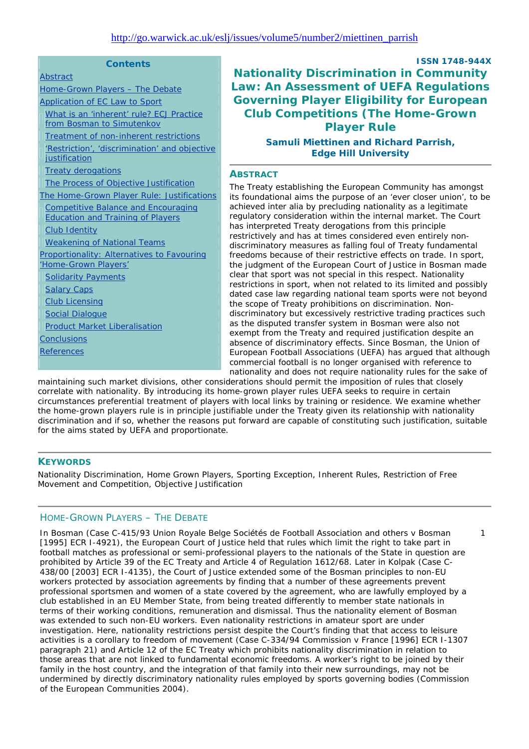| <b>Contents</b>                                                       | <b>ISSN 1748-944X</b>                                                                                                     |
|-----------------------------------------------------------------------|---------------------------------------------------------------------------------------------------------------------------|
| Abstract                                                              | <b>Nationality Discrimination in Community</b>                                                                            |
| Home-Grown Players - The Debate                                       | <b>Law: An Assessment of UEFA Regulations</b>                                                                             |
| <b>Application of EC Law to Sport</b>                                 | <b>Governing Player Eligibility for European</b>                                                                          |
|                                                                       |                                                                                                                           |
| What is an 'inherent' rule? ECJ Practice<br>from Bosman to Simutenkov | <b>Club Competitions (The Home-Grown</b>                                                                                  |
|                                                                       | <b>Player Rule</b>                                                                                                        |
| Treatment of non-inherent restrictions                                | Samuli Miettinen and Richard Parrish,                                                                                     |
| 'Restriction', 'discrimination' and objective<br>justification        | <b>Edge Hill University</b>                                                                                               |
|                                                                       |                                                                                                                           |
| <b>Treaty derogations</b>                                             | <b>ABSTRACT</b>                                                                                                           |
| The Process of Objective Justification                                | The Treaty establishing the European Community has amongst                                                                |
| The Home-Grown Player Rule: Justifications                            | its foundational aims the purpose of an 'ever closer union', to be                                                        |
| <b>Competitive Balance and Encouraging</b>                            | achieved inter alia by precluding nationality as a legitimate                                                             |
| <b>Education and Training of Players</b>                              | regulatory consideration within the internal market. The Court                                                            |
| Club Identity                                                         | has interpreted Treaty derogations from this principle<br>restrictively and has at times considered even entirely non-    |
| <b>Weakening of National Teams</b>                                    | discriminatory measures as falling foul of Treaty fundamental                                                             |
| <b>Proportionality: Alternatives to Favouring</b>                     | freedoms because of their restrictive effects on trade. In sport,                                                         |
| 'Home-Grown Players'                                                  | the judgment of the European Court of Justice in Bosman made                                                              |
| <b>Solidarity Payments</b>                                            | clear that sport was not special in this respect. Nationality                                                             |
| <b>Salary Caps</b>                                                    | restrictions in sport, when not related to its limited and possibly                                                       |
| <b>Club Licensing</b>                                                 | dated case law regarding national team sports were not beyond<br>the scope of Treaty prohibitions on discrimination. Non- |
| <b>Social Dialoque</b>                                                | discriminatory but excessively restrictive trading practices such                                                         |
|                                                                       | as the disputed transfer system in Bosman were also not                                                                   |
| <b>Product Market Liberalisation</b>                                  | exempt from the Treaty and required justification despite an                                                              |
| <b>Conclusions</b>                                                    | absence of discriminatory effects. Since Bosman, the Union of                                                             |
| <b>References</b>                                                     | European Football Associations (UEFA) has argued that although                                                            |
|                                                                       | commercial football is no longer organised with reference to                                                              |

nationality and does not require nationality rules for the sake of maintaining such market divisions, other considerations should permit the imposition of rules that closely correlate with nationality. By introducing its home-grown player rules UEFA seeks to require in certain circumstances preferential treatment of players with local links by training or residence. We examine whether the home-grown players rule is in principle justifiable under the Treaty given its relationship with nationality discrimination and if so, whether the reasons put forward are capable of constituting such justification, suitable for the aims stated by UEFA and proportionate.

# **KEYWORDS**

Nationality Discrimination, Home Grown Players, Sporting Exception, Inherent Rules, Restriction of Free Movement and Competition, Objective Justification

# HOME-GROWN PLAYERS – THE DEBATE

In *Bosman* (Case C-415/93 *Union Royale Belge Sociétés de Football Association and others v Bosman* [1995] ECR I-4921), the European Court of Justice held that rules which limit the right to take part in football matches as professional or semi-professional players to the nationals of the State in question are prohibited by Article 39 of the EC Treaty and Article 4 of Regulation 1612/68. Later in *Kolpak* (Case C-438/00 [2003] ECR I-4135), the Court of Justice extended some of the *Bosman* principles to non-EU workers protected by association agreements by finding that a number of these agreements prevent professional sportsmen and women of a state covered by the agreement, who are lawfully employed by a club established in an EU Member State, from being treated differently to member state nationals in terms of their working conditions, remuneration and dismissal. Thus the nationality element of *Bosman* was extended to such non-EU workers. Even nationality restrictions in amateur sport are under investigation. Here, nationality restrictions persist despite the Court's finding that that access to leisure activities is a corollary to freedom of movement (Case C-334/94 *Commission v France* [1996] ECR I-1307 paragraph 21) and Article 12 of the EC Treaty which prohibits nationality discrimination in relation to those areas that are not linked to fundamental economic freedoms. A worker's right to be joined by their family in the host country, and the integration of that family into their new surroundings, may not be undermined by directly discriminatory nationality rules employed by sports governing bodies (Commission of the European Communities 2004).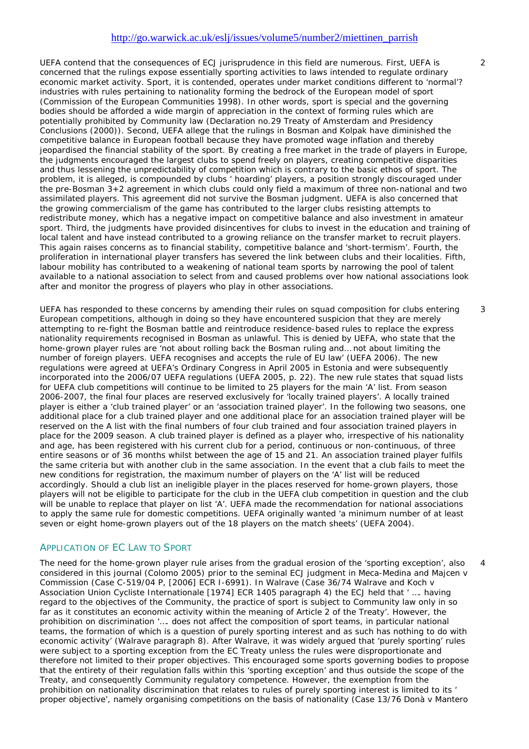UEFA contend that the consequences of ECJ jurisprudence in this field are numerous. First, UEFA is concerned that the rulings expose essentially sporting activities to laws intended to regulate ordinary economic market activity. Sport, it is contended, operates under market conditions different to 'normal'? industries with rules pertaining to nationality forming the bedrock of the European model of sport (Commission of the European Communities 1998). In other words, sport is special and the governing bodies should be afforded a wide margin of appreciation in the context of forming rules which are potentially prohibited by Community law (Declaration no.29 Treaty of Amsterdam and Presidency Conclusions (2000)). Second, UEFA allege that the rulings in *Bosman* and *Kolpak* have diminished the competitive balance in European football because they have promoted wage inflation and thereby jeopardised the financial stability of the sport. By creating a free market in the trade of players in Europe, the judgments encouraged the largest clubs to spend freely on players, creating competitive disparities and thus lessening the unpredictability of competition which is contrary to the basic ethos of sport. The problem, it is alleged, is compounded by clubs ' hoarding' players, a position strongly discouraged under the pre-*Bosman* 3+2 agreement in which clubs could only field a maximum of three non-national and two assimilated players. This agreement did not survive the *Bosman* judgment. UEFA is also concerned that the growing commercialism of the game has contributed to the larger clubs resisting attempts to redistribute money, which has a negative impact on competitive balance and also investment in amateur sport. Third, the judgments have provided disincentives for clubs to invest in the education and training of local talent and have instead contributed to a growing reliance on the transfer market to recruit players. This again raises concerns as to financial stability, competitive balance and 'short-termism'. Fourth, the proliferation in international player transfers has severed the link between clubs and their localities. Fifth, labour mobility has contributed to a weakening of national team sports by narrowing the pool of talent available to a national association to select from and caused problems over how national associations look after and monitor the progress of players who play in other associations.

UEFA has responded to these concerns by amending their rules on squad composition for clubs entering European competitions, although in doing so they have encountered suspicion that they are merely attempting to re-fight the *Bosman* battle and reintroduce residence-based rules to replace the express nationality requirements recognised in *Bosman* as unlawful. This is denied by UEFA, who state that the home-grown player rules are 'not about rolling back the *Bosman* ruling and… not about limiting the number of foreign players. UEFA recognises and accepts the rule of EU law' (UEFA 2006). The new regulations were agreed at UEFA's Ordinary Congress in April 2005 in Estonia and were subsequently incorporated into the 2006/07 UEFA regulations (UEFA 2005, p. 22). The new rule states that squad lists for UEFA club competitions will continue to be limited to 25 players for the main 'A' list. From season 2006-2007, the final four places are reserved exclusively for 'locally trained players'. A locally trained player is either a 'club trained player' or an 'association trained player'. In the following two seasons, one additional place for a club trained player and one additional place for an association trained player will be reserved on the A list with the final numbers of four club trained and four association trained players in place for the 2009 season. A club trained player is defined as a player who, irrespective of his nationality and age, has been registered with his current club for a period, continuous or non-continuous, of three entire seasons or of 36 months whilst between the age of 15 and 21. An association trained player fulfils the same criteria but with another club in the same association. In the event that a club fails to meet the new conditions for registration, the maximum number of players on the 'A' list will be reduced accordingly. Should a club list an ineligible player in the places reserved for home-grown players, those players will not be eligible to participate for the club in the UEFA club competition in question and the club will be unable to replace that player on list 'A'. UEFA made the recommendation for national associations to apply the same rule for domestic competitions. UEFA originally wanted 'a minimum number of at least seven or eight home-grown players out of the 18 players on the match sheets' (UEFA 2004).

## APPLICATION OF EC LAW TO SPORT

The need for the home-grown player rule arises from the gradual erosion of the 'sporting exception', also considered in this journal (Colomo 2005) prior to the seminal ECJ judgment in *Meca-Medina and Majcen v Commission* (Case C-519/04 P, [2006] ECR I-6991). In *Walrave* (Case 36/74 *Walrave and Koch v Association Union Cycliste Internationale* [1974] ECR 1405 paragraph 4) the ECJ held that ' …. having regard to the objectives of the Community, the practice of sport is subject to Community law only in so far as it constitutes an economic activity within the meaning of Article 2 of the Treaty'. However, the prohibition on discrimination '…. does not affect the composition of sport teams, in particular national teams, the formation of which is a question of purely sporting interest and as such has nothing to do with economic activity' (*Walrave* paragraph 8). After *Walrave*, it was widely argued that 'purely sporting' rules were subject to a sporting exception from the EC Treaty unless the rules were disproportionate and therefore not limited to their proper objectives. This encouraged some sports governing bodies to propose that the entirety of their regulation falls within this 'sporting exception' and thus outside the scope of the Treaty, and consequently Community regulatory competence. However, the exemption from the prohibition on nationality discrimination that relates to rules of purely sporting interest is limited to its ' proper objective', namely organising competitions on the basis of nationality (Case 13/76 *Donà v Mantero*

3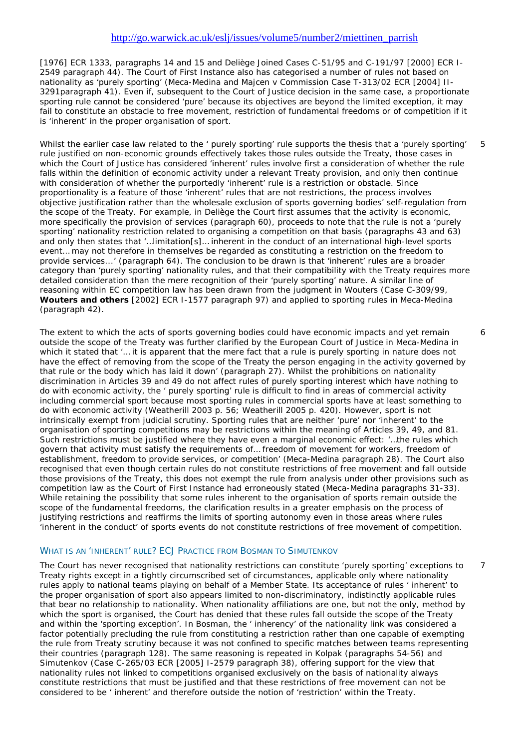[1976] ECR 1333, paragraphs 14 and 15 and *Deliège* Joined Cases C-51/95 and C-191/97 [2000] ECR I-2549 paragraph 44). The Court of First Instance also has categorised a number of rules not based on nationality as 'purely sporting' (*Meca-Medina and Majcen v Commission* Case T-313/02 ECR [2004] II-3291paragraph 41). Even if, subsequent to the Court of Justice decision in the same case, a proportionate sporting rule cannot be considered 'pure' because its objectives are beyond the limited exception, it may fail to constitute an obstacle to free movement, restriction of fundamental freedoms or of competition if it is 'inherent' in the proper organisation of sport.

Whilst the earlier case law related to the ' purely sporting' rule supports the thesis that a 'purely sporting' rule justified on non-economic grounds effectively takes those rules outside the Treaty, those cases in which the Court of Justice has considered 'inherent' rules involve first a consideration of whether the rule falls within the definition of economic activity under a relevant Treaty provision, and only then continue with consideration of whether the purportedly 'inherent' rule is a restriction or obstacle. Since proportionality is a feature of those 'inherent' rules that are not restrictions, the process involves objective justification rather than the wholesale exclusion of sports governing bodies' self-regulation from the scope of the Treaty. For example, in *Deliège* the Court first assumes that the activity is economic, more specifically the provision of services (paragraph 60), proceeds to note that the rule is not a 'purely sporting' nationality restriction related to organising a competition on that basis (paragraphs 43 and 63) and only then states that '…limitation[s]… inherent in the conduct of an international high-level sports event… may not therefore in themselves be regarded as constituting a restriction on the freedom to provide services...' (paragraph 64). The conclusion to be drawn is that 'inherent' rules are a broader category than 'purely sporting' nationality rules, and that their compatibility with the Treaty requires more detailed consideration than the mere recognition of their 'purely sporting' nature. A similar line of reasoning within EC competition law has been drawn from the judgment in *Wouters* (Case C-309/99, *Wouters and others* [2002] ECR I-1577 paragraph 97) and applied to sporting rules in *Meca-Medina* (paragraph 42).

The extent to which the acts of sports governing bodies could have economic impacts and yet remain outside the scope of the Treaty was further clarified by the European Court of Justice in *Meca-Medina* in which it stated that '... it is apparent that the mere fact that a rule is purely sporting in nature does not have the effect of removing from the scope of the Treaty the person engaging in the activity governed by that rule or the body which has laid it down' (paragraph 27). Whilst the prohibitions on nationality discrimination in Articles 39 and 49 do not affect rules of purely sporting interest which have nothing to do with economic activity, the ' purely sporting' rule is difficult to find in areas of commercial activity including commercial sport because most sporting rules in commercial sports have at least something to do with economic activity (Weatherill 2003 p. 56; Weatherill 2005 p. 420). However, sport is not intrinsically exempt from judicial scrutiny. Sporting rules that are neither 'pure' nor 'inherent' to the organisation of sporting competitions may be restrictions within the meaning of Articles 39, 49, and 81. Such restrictions must be justified where they have even a marginal economic effect: '…the rules which govern that activity must satisfy the requirements of… freedom of movement for workers, freedom of establishment, freedom to provide services, or competition' (*Meca-Medina* paragraph 28). The Court also recognised that even though certain rules do not constitute restrictions of free movement and fall outside those provisions of the Treaty, this does not exempt the rule from analysis under other provisions such as competition law as the Court of First Instance had erroneously stated (*Meca-Medina* paragraphs 31-33). While retaining the possibility that some rules inherent to the organisation of sports remain outside the scope of the fundamental freedoms, the clarification results in a greater emphasis on the process of justifying restrictions and reaffirms the limits of sporting autonomy even in those areas where rules 'inherent in the conduct' of sports events do not constitute restrictions of free movement of competition.

## *WHAT IS AN 'INHERENT' RULE? ECJ PRACTICE FROM BOSMAN TO SIMUTENKOV*

The Court has never recognised that nationality restrictions can constitute 'purely sporting' exceptions to Treaty rights except in a tightly circumscribed set of circumstances, applicable only where nationality rules apply to national teams playing on behalf of a Member State. Its acceptance of rules ' inherent' to the proper organisation of sport also appears limited to non-discriminatory, indistinctly applicable rules that bear no relationship to nationality. When nationality affiliations are one, but not the only, method by which the sport is organised, the Court has denied that these rules fall outside the scope of the Treaty and within the 'sporting exception'. In *Bosman*, the ' inherency' of the nationality link was considered a factor potentially precluding the rule from constituting a restriction rather than one capable of exempting the rule from Treaty scrutiny because it was not confined to specific matches between teams representing their countries (paragraph 128). The same reasoning is repeated in *Kolpak* (paragraphs 54-56) and *Simutenkov* (Case C-265/03 ECR [2005] I-2579 paragraph 38), offering support for the view that nationality rules not linked to competitions organised exclusively on the basis of nationality always constitute restrictions that must be justified and that these restrictions of free movement can not be considered to be ' inherent' and therefore outside the notion of 'restriction' within the Treaty.

7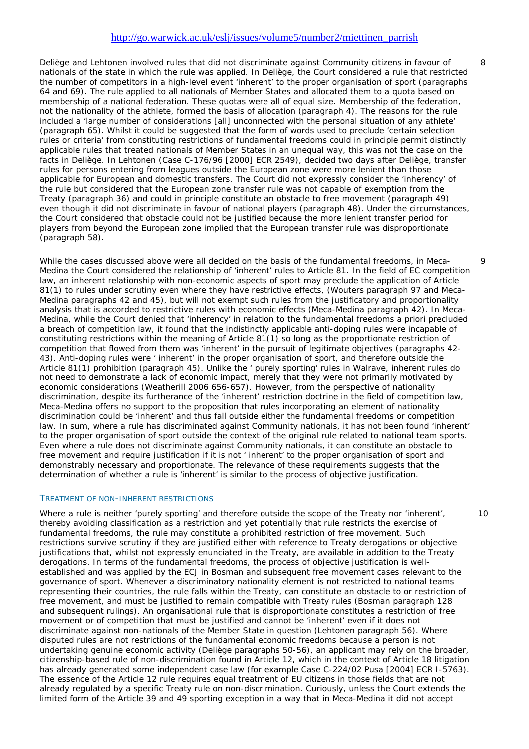*Deliège* and *Lehtonen* involved rules that did not discriminate against Community citizens in favour of nationals of the state in which the rule was applied. In *Deliège,* the Court considered a rule that restricted the number of competitors in a high-level event 'inherent' to the proper organisation of sport (paragraphs 64 and 69). The rule applied to all nationals of Member States and allocated them to a quota based on membership of a national federation. These quotas were all of equal size. Membership of the federation, not the nationality of the athlete, formed the basis of allocation (paragraph 4). The reasons for the rule included a 'large number of considerations [all] unconnected with the personal situation of any athlete' (paragraph 65). Whilst it could be suggested that the form of words used to preclude 'certain selection rules or criteria' from constituting restrictions of fundamental freedoms could in principle permit distinctly applicable rules that treated nationals of Member States in an unequal way, this was not the case on the facts in *Deliège*. In *Lehtonen* (Case C-176/96 [2000] ECR 2549), decided two days after *Deliège*, transfer rules for persons entering from leagues outside the European zone were more lenient than those applicable for European and domestic transfers. The Court did not expressly consider the 'inherency' of the rule but considered that the European zone transfer rule was not capable of exemption from the Treaty (paragraph 36) and could in principle constitute an obstacle to free movement (paragraph 49) even though it did not discriminate in favour of national players (paragraph 48). Under the circumstances, the Court considered that obstacle could not be justified because the more lenient transfer period for players from beyond the European zone implied that the European transfer rule was disproportionate (paragraph 58).

While the cases discussed above were all decided on the basis of the fundamental freedoms, in *Meca-Medina* the Court considered the relationship of 'inherent' rules to Article 81. In the field of EC competition law, an inherent relationship with non-economic aspects of sport may preclude the application of Article 81(1) to rules under scrutiny even where they have restrictive effects, (*Wouters* paragraph 97 and *Meca-Medina* paragraphs 42 and 45), but will not exempt such rules from the justificatory and proportionality analysis that is accorded to restrictive rules with economic effects (*Meca-Medina* paragraph 42). In *Meca-Medina*, while the Court denied that 'inherency' in relation to the fundamental freedoms *a priori* precluded a breach of competition law, it found that the indistinctly applicable anti-doping rules were incapable of constituting restrictions within the meaning of Article 81(1) so long as the proportionate restriction of competition that flowed from them was 'inherent' in the pursuit of legitimate objectives (paragraphs 42- 43). Anti-doping rules were ' inherent' in the proper organisation of sport, and therefore outside the Article 81(1) prohibition (paragraph 45). Unlike the ' purely sporting' rules in *Walrave,* inherent rules do not need to demonstrate a lack of economic impact, merely that they were not primarily motivated by economic considerations (Weatherill 2006 656-657). However, from the perspective of nationality discrimination, despite its furtherance of the 'inherent' restriction doctrine in the field of competition law, *Meca-Medina* offers no support to the proposition that rules incorporating an element of nationality discrimination could be 'inherent' and thus fall outside either the fundamental freedoms or competition law. In sum, where a rule has discriminated against Community nationals, it has not been found 'inherent' to the proper organisation of sport outside the context of the original rule related to national team sports. Even where a rule does not discriminate against Community nationals, it can constitute an obstacle to free movement and require justification if it is not ' inherent' to the proper organisation of sport and demonstrably necessary and proportionate. The relevance of these requirements suggests that the determination of whether a rule is 'inherent' is similar to the process of objective justification.

#### *TREATMENT OF NON-INHERENT RESTRICTIONS*

Where a rule is neither 'purely sporting' and therefore outside the scope of the Treaty nor 'inherent', thereby avoiding classification as a restriction and yet potentially that rule restricts the exercise of fundamental freedoms, the rule may constitute a prohibited restriction of free movement. Such restrictions survive scrutiny if they are justified either with reference to Treaty derogations or objective justifications that, whilst not expressly enunciated in the Treaty, are available in addition to the Treaty derogations. In terms of the fundamental freedoms, the process of objective justification is wellestablished and was applied by the ECJ in *Bosman* and subsequent free movement cases relevant to the governance of sport. Whenever a discriminatory nationality element is not restricted to national teams representing their countries, the rule falls within the Treaty, can constitute an obstacle to or restriction of free movement, and must be justified to remain compatible with Treaty rules (*Bosman* paragraph 128 and subsequent rulings). An organisational rule that is disproportionate constitutes a restriction of free movement or of competition that must be justified and cannot be 'inherent' even if it does not discriminate against non-nationals of the Member State in question (*Lehtonen* paragraph 56). Where disputed rules are not restrictions of the fundamental economic freedoms because a person is not undertaking genuine economic activity (*Deliège* paragraphs 50-56), an applicant may rely on the broader, citizenship-based rule of non-discrimination found in Article 12, which in the context of Article 18 litigation has already generated some independent case law (for example Case C-224/02 *Pusa* [2004] ECR I-5763). The essence of the Article 12 rule requires equal treatment of EU citizens in those fields that are not already regulated by a specific Treaty rule on non-discrimination. Curiously, unless the Court extends the limited form of the Article 39 and 49 sporting exception in a way that in *Meca-Medina* it did not accept

10

8

 $\circ$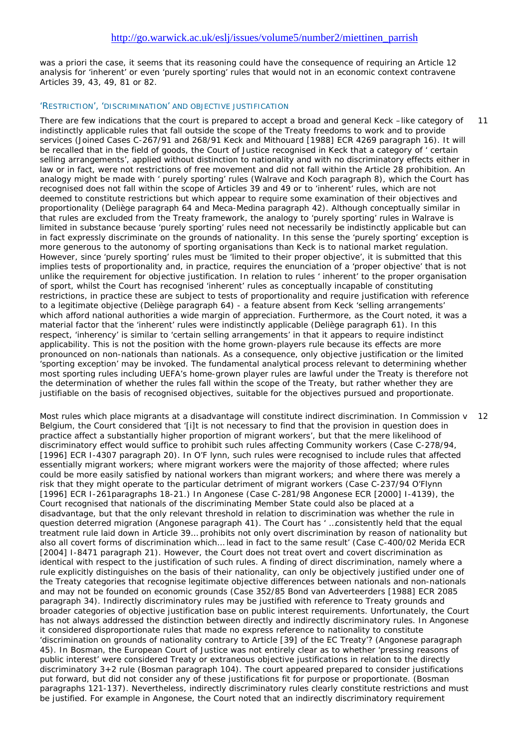was *a priori* the case, it seems that its reasoning could have the consequence of requiring an Article 12 analysis for 'inherent' or even 'purely sporting' rules that would not in an economic context contravene Articles 39, 43, 49, 81 or 82.

## '*RESTRICTION', 'DISCRIMINATION' AND OBJECTIVE JUSTIFICATION*

There are few indications that the court is prepared to accept a broad and general *Keck* –like category of indistinctly applicable rules that fall outside the scope of the Treaty freedoms to work and to provide services (Joined Cases C-267/91 and 268/91 *Keck and Mithouard* [1988] ECR 4269 paragraph 16). It will be recalled that in the field of goods, the Court of Justice recognised in *Keck* that a category of ' certain selling arrangements', applied without distinction to nationality and with no discriminatory effects either in law or in fact, were not restrictions of free movement and did not fall within the Article 28 prohibition. An analogy might be made with ' purely sporting' rules (*Walrave and Koch* paragraph 8), which the Court has recognised does not fall within the scope of Articles 39 and 49 or to 'inherent' rules, which are not deemed to constitute restrictions but which appear to require some examination of their objectives and proportionality (*Deliège* paragraph 64 and *Meca-Medina* paragraph 42). Although conceptually similar in that rules are excluded from the Treaty framework, the analogy to 'purely sporting' rules in *Walrave* is limited in substance because 'purely sporting' rules need not necessarily be indistinctly applicable but can in fact expressly discriminate on the grounds of nationality. In this sense the 'purely sporting' exception is more generous to the autonomy of sporting organisations than *Keck* is to national market regulation. However, since 'purely sporting' rules must be 'limited to their proper objective', it is submitted that this implies tests of proportionality and, in practice, requires the enunciation of a 'proper objective' that is not unlike the requirement for objective justification. In relation to rules ' inherent' to the proper organisation of sport, whilst the Court has recognised 'inherent' rules as conceptually incapable of constituting restrictions, in practice these are subject to tests of proportionality and require justification with reference to a legitimate objective (*Deliège* paragraph 64) - a feature absent from *Keck* 'selling arrangements' which afford national authorities a wide margin of appreciation. Furthermore, as the Court noted, it was a material factor that the 'inherent' rules were indistinctly applicable (*Deliège* paragraph 61). In this respect, 'inherency' is similar to 'certain selling arrangements' in that it appears to require indistinct applicability. This is not the position with the home grown-players rule because its effects are more pronounced on non-nationals than nationals. As a consequence, only objective justification or the limited 'sporting exception' may be invoked. The fundamental analytical process relevant to determining whether most sporting rules including UEFA's home-grown player rules are lawful under the Treaty is therefore not the determination of whether the rules fall within the scope of the Treaty, but rather whether they are justifiable on the basis of recognised objectives, suitable for the objectives pursued and proportionate. 11

Most rules which place migrants at a disadvantage will constitute indirect discrimination. In *Commission v*  12 *Belgium*, the Court considered that '[i]t is not necessary to find that the provision in question does in practice affect a substantially higher proportion of migrant workers', but that the mere likelihood of discriminatory effect would suffice to prohibit such rules affecting Community workers (Case C-278/94, [1996] ECR I-4307 paragraph 20). In *O'F lynn*, such rules were recognised to include rules that affected essentially migrant workers; where migrant workers were the majority of those affected; where rules could be more easily satisfied by national workers than migrant workers; and where there was merely a risk that they might operate to the particular detriment of migrant workers (Case C-237/94 *O'Flynn* [1996] ECR I-261paragraphs 18-21.) In *Angonese* (Case C-281/98 *Angonese* ECR [2000] I-4139)*,* the Court recognised that nationals of the discriminating Member State could also be placed at a disadvantage, but that the only relevant threshold in relation to discrimination was whether the rule in question deterred migration (*Angonese* paragraph 41). The Court has ' …consistently held that the equal treatment rule laid down in Article 39… prohibits not only overt discrimination by reason of nationality but also all covert forms of discrimination which… lead in fact to the same result' (Case C-400/02 *Merida* ECR [2004] I-8471 paragraph 21). However, the Court does not treat overt and covert discrimination as identical with respect to the justification of such rules. A finding of direct discrimination, namely where a rule explicitly distinguishes on the basis of their nationality, can only be objectively justified under one of the Treaty categories that recognise legitimate objective differences between nationals and non-nationals and may not be founded on economic grounds (Case 352/85 *Bond van Adverteerders* [1988] ECR 2085 paragraph 34). Indirectly discriminatory rules may be justified with reference to Treaty grounds and broader categories of objective justification base on public interest requirements. Unfortunately, the Court has not always addressed the distinction between directly and indirectly discriminatory rules. In *Angonese* it considered disproportionate rules that made no express reference to nationality to constitute 'discrimination on grounds of nationality contrary to Article [39] of the EC Treaty'? (*Angonese* paragraph 45). In *Bosman,* the European Court of Justice was not entirely clear as to whether 'pressing reasons of public interest' were considered Treaty or extraneous objective justifications in relation to the directly discriminatory 3+2 rule (*Bosman* paragraph 104). The court appeared prepared to consider justifications put forward, but did not consider any of these justifications fit for purpose or proportionate. (*Bosman* paragraphs 121-137). Nevertheless, indirectly discriminatory rules clearly constitute restrictions and must be justified. For example in *Angonese*, the Court noted that an indirectly discriminatory requirement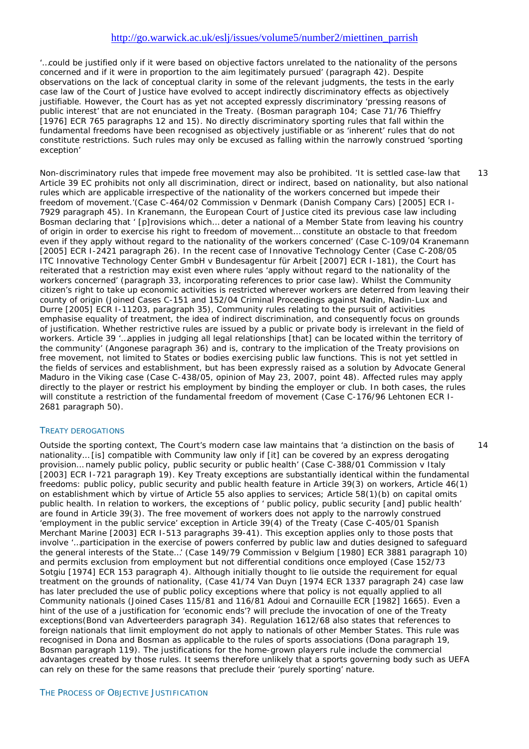'…could be justified only if it were based on objective factors unrelated to the nationality of the persons concerned and if it were in proportion to the aim legitimately pursued' (paragraph 42). Despite observations on the lack of conceptual clarity in some of the relevant judgments, the tests in the early case law of the Court of Justice have evolved to accept indirectly discriminatory effects as objectively justifiable. However, the Court has as yet not accepted expressly discriminatory 'pressing reasons of public interest' that are not enunciated in the Treaty. (*Bosman* paragraph 104; Case 71/76 *Thieffry* [1976] ECR 765 paragraphs 12 and 15). No directly discriminatory sporting rules that fall within the fundamental freedoms have been recognised as objectively justifiable or as 'inherent' rules that do not constitute restrictions. Such rules may only be excused as falling within the narrowly construed 'sporting exception'

Non-discriminatory rules that impede free movement may also be prohibited. 'It is settled case-law that Article 39 EC prohibits not only all discrimination, direct or indirect, based on nationality, but also national rules which are applicable irrespective of the nationality of the workers concerned but impede their freedom of movement.'(Case C-464/02 *Commission v Denmark (Danish Company Cars)* [2005] ECR I-7929 paragraph 45). In *Kranemann*, the European Court of Justice cited its previous case law including *Bosman* declaring that ' [p]rovisions which… deter a national of a Member State from leaving his country of origin in order to exercise his right to freedom of movement… constitute an obstacle to that freedom even if they apply without regard to the nationality of the workers concerned' (Case C-109/04 *Kranemann* [2005] ECR I-2421 paragraph 26). In the recent case of *Innovative Technology Center* (Case C-208/05 *ITC Innovative Technology Center GmbH v Bundesagentur für Arbeit* [2007] ECR I-181), the Court has reiterated that a restriction may exist even where rules 'apply without regard to the nationality of the workers concerned' (paragraph 33, incorporating references to prior case law). Whilst the Community citizen's right to take up economic activities is restricted wherever workers are deterred from leaving their county of origin (Joined Cases C-151 and 152/04 *Criminal Proceedings against Nadin, Nadin-Lux and Durre* [2005] ECR I-11203, paragraph 35), Community rules relating to the pursuit of activities emphasise equality of treatment, the idea of indirect discrimination, and consequently focus on grounds of justification. Whether restrictive rules are issued by a public or private body is irrelevant in the field of workers. Article 39 '…applies in judging all legal relationships [that] can be located within the territory of the community' (*Angonese* paragraph 36) and is, contrary to the implication of the Treaty provisions on free movement, not limited to States or bodies exercising public law functions. This is not yet settled in the fields of services and establishment, but has been expressly raised as a solution by Advocate General Maduro in the *Viking* case (Case C-438/05, opinion of May 23, 2007, point 48). Affected rules may apply directly to the player or restrict his employment by binding the employer or club. In both cases, the rules will constitute a restriction of the fundamental freedom of movement (Case C-176/96 *Lehtonen* ECR I-2681 paragraph 50). 13

# *TREATY DEROGATIONS*

Outside the sporting context, The Court's modern case law maintains that 'a distinction on the basis of nationality… [is] compatible with Community law only if [it] can be covered by an express derogating provision… namely public policy, public security or public health' (Case C-388/01 *Commission v Italy* [2003] ECR I-721 paragraph 19). Key Treaty exceptions are substantially identical within the fundamental freedoms: public policy, public security and public health feature in Article 39(3) on workers, Article 46(1) on establishment which by virtue of Article 55 also applies to services; Article 58(1)(b) on capital omits public health. In relation to workers, the exceptions of ' public policy, public security [and] public health' are found in Article 39(3). The free movement of workers does not apply to the narrowly construed 'employment in the public service' exception in Article 39(4) of the Treaty (Case C-405/01 *Spanish Merchant Marine* [2003] ECR I-513 paragraphs 39-41). This exception applies only to those posts that involve '…participation in the exercise of powers conferred by public law and duties designed to safeguard the general interests of the State…' (Case 149/79 *Commission v Belgium* [1980] ECR 3881 paragraph 10) and permits exclusion from employment but not differential conditions once employed (Case 152/73 *Sotgiu* [1974] ECR 153 paragraph 4). Although initially thought to lie outside the requirement for equal treatment on the grounds of nationality, (Case 41/74 *Van Duyn* [1974 ECR 1337 paragraph 24) case law has later precluded the use of public policy exceptions where that policy is not equally applied to all Community nationals (Joined Cases 115/81 and 116/81 *Adoui and Cornauille* ECR [1982] 1665). Even a hint of the use of a justification for 'economic ends'? will preclude the invocation of one of the Treaty exceptions(*Bond van Adverteerders* paragraph 34). Regulation 1612/68 also states that references to foreign nationals that limit employment do not apply to nationals of other Member States. This rule was recognised in *Dona* and *Bosman* as applicable to the rules of sports associations (*Dona* paragraph 19, *Bosman* paragraph 119). The justifications for the home-grown players rule include the commercial advantages created by those rules. It seems therefore unlikely that a sports governing body such as UEFA can rely on these for the same reasons that preclude their 'purely sporting' nature.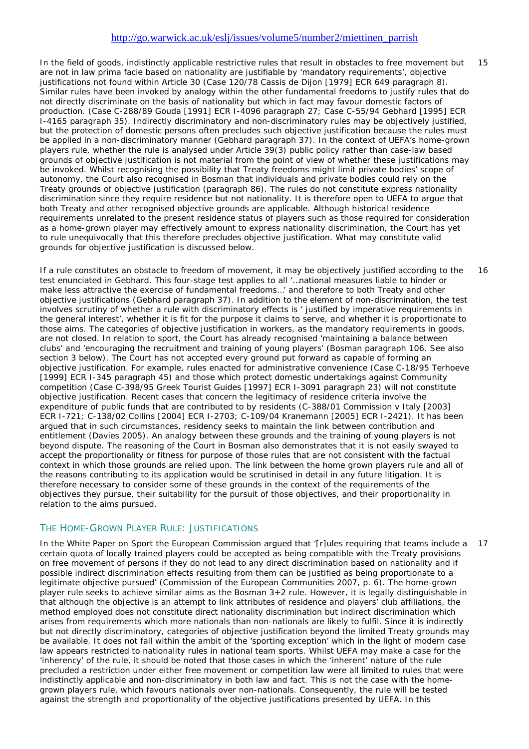In the field of goods, indistinctly applicable restrictive rules that result in obstacles to free movement but are not in law *prima facie* based on nationality are justifiable by 'mandatory requirements', objective justifications not found within Article 30 (Case 120/78 *Cassis de Dijon* [1979] ECR 649 paragraph 8). Similar rules have been invoked by analogy within the other fundamental freedoms to justify rules that do not directly discriminate on the basis of nationality but which in fact may favour domestic factors of production. (Case C-288/89 *Gouda* [1991] ECR I-4096 paragraph 27; Case C-55/94 *Gebhard* [1995] ECR I-4165 paragraph 35). Indirectly discriminatory and non-discriminatory rules may be objectively justified, but the protection of domestic persons often precludes such objective justification because the rules must be applied in a non-discriminatory manner (*Gebhard* paragraph 37). In the context of UEFA's home-grown players rule, whether the rule is analysed under Article 39(3) public policy rather than case-law based grounds of objective justification is not material from the point of view of whether these justifications may be invoked. Whilst recognising the possibility that Treaty freedoms might limit private bodies' scope of autonomy, the Court also recognised in *Bosman* that individuals and private bodies could rely on the Treaty grounds of objective justification (paragraph 86). The rules do not constitute express nationality discrimination since they require residence but not nationality. It is therefore open to UEFA to argue that both Treaty and other recognised objective grounds are applicable. Although historical residence requirements unrelated to the present residence status of players such as those required for consideration as a home-grown player may effectively amount to express nationality discrimination, the Court has yet to rule unequivocally that this therefore precludes objective justification. What may constitute valid grounds for objective justification is discussed below. 15

16

If a rule constitutes an obstacle to freedom of movement, it may be objectively justified according to the test enunciated in *Gebhard*. This four-stage test applies to all '…national measures liable to hinder or make less attractive the exercise of fundamental freedoms…' and therefore to both Treaty and other objective justifications (*Gebhard* paragraph 37). In addition to the element of non-discrimination, the test involves scrutiny of whether a rule with discriminatory effects is ' justified by imperative requirements in the general interest', whether it is fit for the purpose it claims to serve, and whether it is proportionate to those aims. The categories of objective justification in workers, as the mandatory requirements in goods, are not closed. In relation to sport, the Court has already recognised 'maintaining a balance between clubs' and 'encouraging the recruitment and training of young players' (*Bosman* paragraph 106. See also section 3 below). The Court has not accepted every ground put forward as capable of forming an objective justification. For example, rules enacted for administrative convenience (Case C-18/95 *Terhoeve* [1999] ECR I-345 paragraph 45) and those which protect domestic undertakings against Community competition (Case C-398/95 *Greek Tourist Guides* [1997] ECR I-3091 paragraph 23) will not constitute objective justification. Recent cases that concern the legitimacy of residence criteria involve the expenditure of public funds that are contributed to by residents (C-388/01 *Commission v Italy* [2003] ECR I-721; C-138/02 *Collins* [2004] ECR I-2703; C-109/04 *Kranemann* [2005] ECR I-2421). It has been argued that in such circumstances, residency seeks to maintain the link between contribution and entitlement (Davies 2005). An analogy between these grounds and the training of young players is not beyond dispute. The reasoning of the Court in *Bosman* also demonstrates that it is not easily swayed to accept the proportionality or fitness for purpose of those rules that are not consistent with the factual context in which those grounds are relied upon. The link between the home grown players rule and all of the reasons contributing to its application would be scrutinised in detail in any future litigation. It is therefore necessary to consider some of these grounds in the context of the requirements of the objectives they pursue, their suitability for the pursuit of those objectives, and their proportionality in relation to the aims pursued.

# THE HOME-GROWN PLAYER RULE: JUSTIFICATIONS

In the White Paper on Sport the European Commission argued that '[r]ules requiring that teams include a certain quota of locally trained players could be accepted as being compatible with the Treaty provisions on free movement of persons if they do not lead to any direct discrimination based on nationality and if possible indirect discrimination effects resulting from them can be justified as being proportionate to a legitimate objective pursued' (Commission of the European Communities 2007, p. 6). The home-grown player rule seeks to achieve similar aims as the *Bosman* 3+2 rule. However, it is legally distinguishable in that although the objective is an attempt to link attributes of residence and players' club affiliations, the method employed does not constitute direct nationality discrimination but indirect discrimination which arises from requirements which more nationals than non-nationals are likely to fulfil. Since it is indirectly but not directly discriminatory, categories of objective justification beyond the limited Treaty grounds may be available. It does not fall within the ambit of the 'sporting exception' which in the light of modern case law appears restricted to nationality rules in national team sports. Whilst UEFA may make a case for the 'inherency' of the rule, it should be noted that those cases in which the 'inherent' nature of the rule precluded a restriction under either free movement or competition law were all limited to rules that were indistinctly applicable and non-discriminatory in both law and fact. This is not the case with the homegrown players rule, which favours nationals over non-nationals. Consequently, the rule will be tested against the strength and proportionality of the objective justifications presented by UEFA. In this 17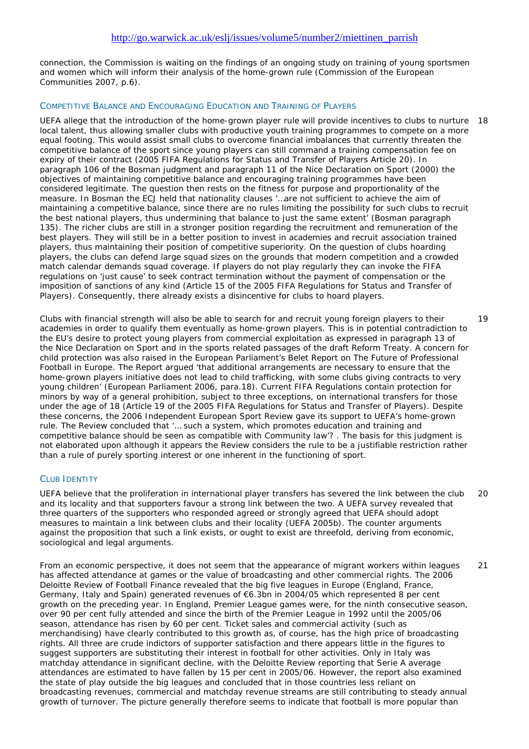connection, the Commission is waiting on the findings of an ongoing study on training of young sportsmen and women which will inform their analysis of the home-grown rule (Commission of the European Communities 2007, p.6).

## *COMPETITIVE BALANCE AND ENCOURAGING EDUCATION AND TRAINING OF PLAYERS*

UEFA allege that the introduction of the home-grown player rule will provide incentives to clubs to nurture local talent, thus allowing smaller clubs with productive youth training programmes to compete on a more equal footing. This would assist small clubs to overcome financial imbalances that currently threaten the competitive balance of the sport since young players can still command a training compensation fee on expiry of their contract (2005 FIFA Regulations for Status and Transfer of Players Article 20). In paragraph 106 of the *Bosman* judgment and paragraph 11 of the Nice Declaration on Sport (2000) the objectives of maintaining competitive balance and encouraging training programmes have been considered legitimate. The question then rests on the fitness for purpose and proportionality of the measure. In *Bosman* the ECJ held that nationality clauses '…are not sufficient to achieve the aim of maintaining a competitive balance, since there are no rules limiting the possibility for such clubs to recruit the best national players, thus undermining that balance to just the same extent' (*Bosman* paragraph 135). The richer clubs are still in a stronger position regarding the recruitment and remuneration of the best players. They will still be in a better position to invest in academies and recruit association trained players, thus maintaining their position of competitive superiority. On the question of clubs hoarding players, the clubs can defend large squad sizes on the grounds that modern competition and a crowded match calendar demands squad coverage. If players do not play regularly they can invoke the FIFA regulations on 'just cause' to seek contract termination without the payment of compensation or the imposition of sanctions of any kind (Article 15 of the 2005 FIFA Regulations for Status and Transfer of Players). Consequently, there already exists a disincentive for clubs to hoard players. 18

Clubs with financial strength will also be able to search for and recruit young foreign players to their academies in order to qualify them eventually as home-grown players. This is in potential contradiction to the EU's desire to protect young players from commercial exploitation as expressed in paragraph 13 of the Nice Declaration on Sport and in the sports related passages of the draft Reform Treaty. A concern for child protection was also raised in the European Parliament's Belet Report on The Future of Professional Football in Europe. The Report argued 'that additional arrangements are necessary to ensure that the home-grown players initiative does not lead to child trafficking, with some clubs giving contracts to very young children' (European Parliament 2006, para.18). Current FIFA Regulations contain protection for minors by way of a general prohibition, subject to three exceptions, on international transfers for those under the age of 18 (Article 19 of the 2005 FIFA Regulations for Status and Transfer of Players). Despite these concerns, the 2006 Independent European Sport Review gave its support to UEFA's home-grown rule. The Review concluded that '… such a system, which promotes education and training and competitive balance should be seen as compatible with Community law'? . The basis for this judgment is not elaborated upon although it appears the Review considers the rule to be a justifiable restriction rather than a rule of purely sporting interest or one inherent in the functioning of sport.

19

## *CLUB IDENTITY*

UEFA believe that the proliferation in international player transfers has severed the link between the club and its locality and that supporters favour a strong link between the two. A UEFA survey revealed that three quarters of the supporters who responded agreed or strongly agreed that UEFA should adopt measures to maintain a link between clubs and their locality (UEFA 2005b). The counter arguments against the proposition that such a link exists, or ought to exist are threefold, deriving from economic, sociological and legal arguments. 20

From an economic perspective, it does not seem that the appearance of migrant workers within leagues has affected attendance at games or the value of broadcasting and other commercial rights. The 2006 Deloitte Review of Football Finance revealed that the big five leagues in Europe (England, France, Germany, Italy and Spain) generated revenues of €6.3bn in 2004/05 which represented 8 per cent growth on the preceding year. In England, Premier League games were, for the ninth consecutive season, over 90 per cent fully attended and since the birth of the Premier League in 1992 until the 2005/06 season, attendance has risen by 60 per cent. Ticket sales and commercial activity (such as merchandising) have clearly contributed to this growth as, of course, has the high price of broadcasting rights. All three are crude indictors of supporter satisfaction and there appears little in the figures to suggest supporters are substituting their interest in football for other activities. Only in Italy was matchday attendance in significant decline, with the Deloitte Review reporting that Serie A average attendances are estimated to have fallen by 15 per cent in 2005/06. However, the report also examined the state of play outside the big leagues and concluded that in those countries less reliant on broadcasting revenues, commercial and matchday revenue streams are still contributing to steady annual growth of turnover. The picture generally therefore seems to indicate that football is more popular than 21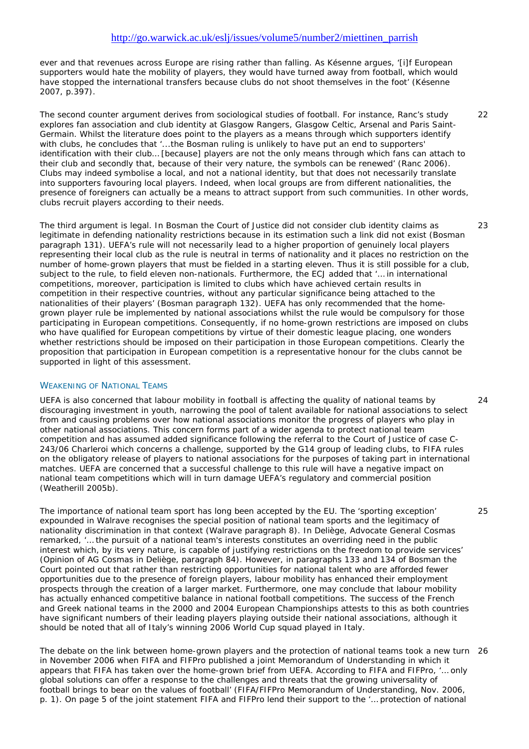ever and that revenues across Europe are rising rather than falling. As Késenne argues, '[i]f European supporters would hate the mobility of players, they would have turned away from football, which would have stopped the international transfers because clubs do not shoot themselves in the foot' (Késenne 2007, p.397).

The second counter argument derives from sociological studies of football. For instance, Ranc's study explores fan association and club identity at Glasgow Rangers, Glasgow Celtic, Arsenal and Paris Saint-Germain. Whilst the literature does point to the players as a means through which supporters identify with clubs, he concludes that '...the *Bosman* ruling is unlikely to have put an end to supporters' identification with their club… [because] players are not the only means through which fans can attach to their club and secondly that, because of their very nature, the symbols can be renewed' (Ranc 2006). Clubs may indeed symbolise a local, and not a national identity, but that does not necessarily translate into supporters favouring local players. Indeed, when local groups are from different nationalities, the presence of foreigners can actually be a means to attract support from such communities. In other words, clubs recruit players according to their needs.

The third argument is legal. In *Bosman* the Court of Justice did not consider club identity claims as legitimate in defending nationality restrictions because in its estimation such a link did not exist (*Bosman* paragraph 131). UEFA's rule will not necessarily lead to a higher proportion of genuinely local players representing their local club as the rule is neutral in terms of nationality and it places no restriction on the number of home-grown players that must be *fielded* in a starting eleven. Thus it is still possible for a club, subject to the rule, to field eleven non-nationals. Furthermore, the ECJ added that '… in international competitions, moreover, participation is limited to clubs which have achieved certain results in competition in their respective countries, without any particular significance being attached to the nationalities of their players' (*Bosman* paragraph 132). UEFA has only recommended that the homegrown player rule be implemented by national associations whilst the rule would be compulsory for those participating in European competitions. Consequently, if no home-grown restrictions are imposed on clubs who have qualified for European competitions by virtue of their domestic league placing, one wonders whether restrictions should be imposed on their participation in those European competitions. Clearly the proposition that participation in European competition is a representative honour for the clubs cannot be supported in light of this assessment.

## *WEAKENING OF NATIONAL TEAMS*

UEFA is also concerned that labour mobility in football is affecting the quality of national teams by discouraging investment in youth, narrowing the pool of talent available for national associations to select from and causing problems over how national associations monitor the progress of players who play in other national associations. This concern forms part of a wider agenda to protect national team competition and has assumed added significance following the referral to the Court of Justice of case C-243/06 *Charleroi* which concerns a challenge, supported by the G14 group of leading clubs, to FIFA rules on the obligatory release of players to national associations for the purposes of taking part in international matches. UEFA are concerned that a successful challenge to this rule will have a negative impact on national team competitions which will in turn damage UEFA's regulatory and commercial position (Weatherill 2005b).

The importance of national team sport has long been accepted by the EU. The 'sporting exception' expounded in *Walrave* recognises the special position of national team sports and the legitimacy of nationality discrimination in that context (*Walrave* paragraph 8). In *Deliège*, Advocate General Cosmas remarked, '… the pursuit of a national team's interests constitutes an overriding need in the public interest which, by its very nature, is capable of justifying restrictions on the freedom to provide services' (Opinion of AG Cosmas in *Deliège*, paragraph 84). However, in paragraphs 133 and 134 of *Bosman* the Court pointed out that rather than restricting opportunities for national talent who are afforded fewer opportunities due to the presence of foreign players, labour mobility has enhanced their employment prospects through the creation of a larger market. Furthermore, one may conclude that labour mobility has actually enhanced competitive balance in national football competitions. The success of the French and Greek national teams in the 2000 and 2004 European Championships attests to this as both countries have significant numbers of their leading players playing outside their national associations, although it should be noted that all of Italy's winning 2006 World Cup squad played in Italy.

The debate on the link between home-grown players and the protection of national teams took a new turn 26 in November 2006 when FIFA and FIFPro published a joint Memorandum of Understanding in which it appears that FIFA has taken over the home-grown brief from UEFA. According to FIFA and FIFPro, '… only global solutions can offer a response to the challenges and threats that the growing universality of football brings to bear on the values of football' (FIFA/FIFPro Memorandum of Understanding, Nov. 2006, p. 1). On page 5 of the joint statement FIFA and FIFPro lend their support to the '… protection of national

25

22

23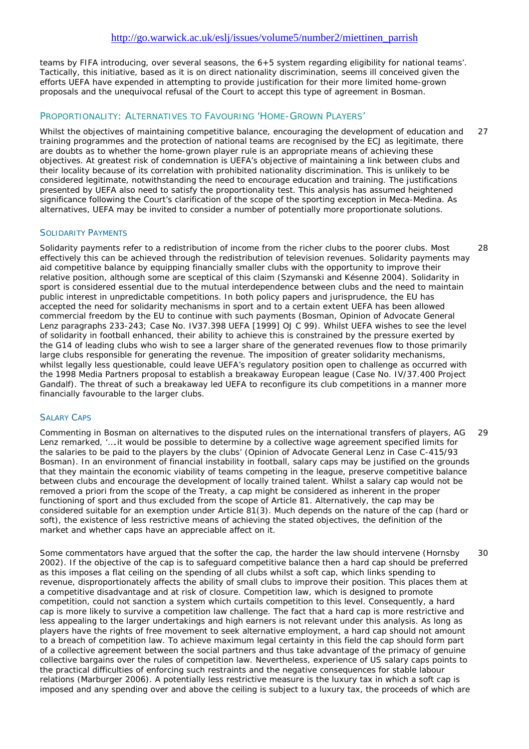teams by FIFA introducing, over several seasons, the 6+5 system regarding eligibility for national teams'. Tactically, this initiative, based as it is on direct nationality discrimination, seems ill conceived given the efforts UEFA have expended in attempting to provide justification for their more limited home-grown proposals and the unequivocal refusal of the Court to accept this type of agreement in *Bosman*.

# PROPORTIONALITY: ALTERNATIVES TO FAVOURING 'HOME-GROWN PLAYERS'

Whilst the objectives of maintaining competitive balance, encouraging the development of education and training programmes and the protection of national teams are recognised by the ECJ as legitimate, there are doubts as to whether the home-grown player rule is an appropriate means of achieving these objectives. At greatest risk of condemnation is UEFA's objective of maintaining a link between clubs and their locality because of its correlation with prohibited nationality discrimination. This is unlikely to be considered legitimate, notwithstanding the need to encourage education and training. The justifications presented by UEFA also need to satisfy the proportionality test. This analysis has assumed heightened significance following the Court's clarification of the scope of the sporting exception in *Meca-Medina*. As alternatives, UEFA may be invited to consider a number of potentially more proportionate solutions. 27

#### *SOLIDARITY PAYMENTS*

Solidarity payments refer to a redistribution of income from the richer clubs to the poorer clubs. Most effectively this can be achieved through the redistribution of television revenues. Solidarity payments may aid competitive balance by equipping financially smaller clubs with the opportunity to improve their relative position, although some are sceptical of this claim (Szymanski and Késenne 2004). Solidarity in sport is considered essential due to the mutual interdependence between clubs and the need to maintain public interest in unpredictable competitions. In both policy papers and jurisprudence, the EU has accepted the need for solidarity mechanisms in sport and to a certain extent UEFA has been allowed commercial freedom by the EU to continue with such payments (*Bosman,* Opinion of Advocate General Lenz paragraphs 233-243; Case No. IV37.398 *UEFA* [1999] OJ C 99). Whilst UEFA wishes to see the level of solidarity in football enhanced, their ability to achieve this is constrained by the pressure exerted by the G14 of leading clubs who wish to see a larger share of the generated revenues flow to those primarily large clubs responsible for generating the revenue. The imposition of greater solidarity mechanisms, whilst legally less questionable, could leave UEFA's regulatory position open to challenge as occurred with the 1998 Media Partners proposal to establish a breakaway European league (Case No. IV/37.400 *Project Gandalf*). The threat of such a breakaway led UEFA to reconfigure its club competitions in a manner more financially favourable to the larger clubs.

## *SALARY CAPS*

Commenting in *Bosman* on alternatives to the disputed rules on the international transfers of players, AG Lenz remarked, '….it would be possible to determine by a collective wage agreement specified limits for the salaries to be paid to the players by the clubs' (Opinion of Advocate General Lenz in Case C-415/93 *Bosman*). In an environment of financial instability in football, salary caps may be justified on the grounds that they maintain the economic viability of teams competing in the league, preserve competitive balance between clubs and encourage the development of locally trained talent. Whilst a salary cap would not be removed *a priori* from the scope of the Treaty, a cap might be considered as inherent in the proper functioning of sport and thus excluded from the scope of Article 81. Alternatively, the cap may be considered suitable for an exemption under Article 81(3). Much depends on the nature of the cap (hard or soft), the existence of less restrictive means of achieving the stated objectives, the definition of the market and whether caps have an appreciable affect on it. 29

Some commentators have argued that the softer the cap, the harder the law should intervene (Hornsby 2002). If the objective of the cap is to safeguard competitive balance then a hard cap should be preferred as this imposes a flat ceiling on the spending of all clubs whilst a soft cap, which links spending to revenue, disproportionately affects the ability of small clubs to improve their position. This places them at a competitive disadvantage and at risk of closure. Competition law, which is designed to promote competition, could not sanction a system which curtails competition to this level. Consequently, a hard cap is more likely to survive a competition law challenge. The fact that a hard cap is more restrictive and less appealing to the larger undertakings and high earners is not relevant under this analysis. As long as players have the rights of free movement to seek alternative employment, a hard cap should not amount to a breach of competition law. To achieve maximum legal certainty in this field the cap should form part of a collective agreement between the social partners and thus take advantage of the primacy of genuine collective bargains over the rules of competition law. Nevertheless, experience of US salary caps points to the practical difficulties of enforcing such restraints and the negative consequences for stable labour relations (Marburger 2006). A potentially less restrictive measure is the luxury tax in which a soft cap is imposed and any spending over and above the ceiling is subject to a luxury tax, the proceeds of which are 30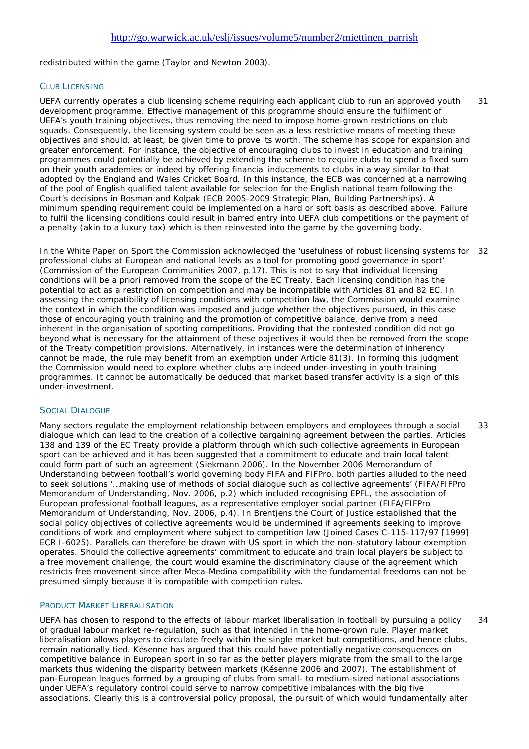redistributed within the game (Taylor and Newton 2003).

### *CLUB LICENSING*

UEFA currently operates a club licensing scheme requiring each applicant club to run an approved youth development programme. Effective management of this programme should ensure the fulfilment of UEFA's youth training objectives, thus removing the need to impose home-grown restrictions on club squads. Consequently, the licensing system could be seen as a less restrictive means of meeting these objectives and should, at least, be given time to prove its worth. The scheme has scope for expansion and greater enforcement. For instance, the objective of encouraging clubs to invest in education and training programmes could potentially be achieved by extending the scheme to require clubs to spend a fixed sum on their youth academies or indeed by offering financial inducements to clubs in a way similar to that adopted by the England and Wales Cricket Board. In this instance, the ECB was concerned at a narrowing of the pool of English qualified talent available for selection for the English national team following the Court's decisions in *Bosman* and *Kolpak* (ECB 2005-2009 Strategic Plan, Building Partnerships). A minimum spending requirement could be implemented on a hard or soft basis as described above. Failure to fulfil the licensing conditions could result in barred entry into UEFA club competitions or the payment of a penalty (akin to a luxury tax) which is then reinvested into the game by the governing body. 31

In the White Paper on Sport the Commission acknowledged the 'usefulness of robust licensing systems for 32 professional clubs at European and national levels as a tool for promoting good governance in sport' (Commission of the European Communities 2007, p.17). This is not to say that individual licensing conditions will be *a priori* removed from the scope of the EC Treaty. Each licensing condition has the potential to act as a restriction on competition and may be incompatible with Articles 81 and 82 EC. In assessing the compatibility of licensing conditions with competition law, the Commission would examine the context in which the condition was imposed and judge whether the objectives pursued, in this case those of encouraging youth training and the promotion of competitive balance, derive from a need inherent in the organisation of sporting competitions. Providing that the contested condition did not go beyond what is necessary for the attainment of these objectives it would then be removed from the scope of the Treaty competition provisions. Alternatively, in instances were the determination of inherency cannot be made, the rule may benefit from an exemption under Article 81(3). In forming this judgment the Commission would need to explore whether clubs are indeed under-investing in youth training programmes. It cannot be automatically be deduced that market based transfer activity is a sign of this under-investment.

## *SOCIAL DIALOGUE*

Many sectors regulate the employment relationship between employers and employees through a social dialogue which can lead to the creation of a collective bargaining agreement between the parties. Articles 138 and 139 of the EC Treaty provide a platform through which such collective agreements in European sport can be achieved and it has been suggested that a commitment to educate and train local talent could form part of such an agreement (Siekmann 2006). In the November 2006 Memorandum of Understanding between football's world governing body FIFA and FIFPro, both parties alluded to the need to seek solutions '…making use of methods of social dialogue such as collective agreements' (FIFA/FIFPro Memorandum of Understanding, Nov. 2006, p.2) which included recognising EPFL, the association of European professional football leagues, as a representative employer social partner (FIFA/FIFPro Memorandum of Understanding, Nov. 2006, p.4). In *Brentjens* the Court of Justice established that the social policy objectives of collective agreements would be undermined if agreements seeking to improve conditions of work and employment where subject to competition law (Joined Cases C-115-117/97 [1999] ECR I-6025). Parallels can therefore be drawn with US sport in which the non-statutory labour exemption operates. Should the collective agreements' commitment to educate and train local players be subject to a free movement challenge, the court would examine the discriminatory clause of the agreement which restricts free movement since after *Meca-Medina* compatibility with the fundamental freedoms can not be presumed simply because it is compatible with competition rules. 33

## *PRODUCT MARKET LIBERALISATION*

UEFA has chosen to respond to the effects of labour market liberalisation in football by pursuing a policy of gradual labour market re-regulation, such as that intended in the home-grown rule. Player market liberalisation allows players to circulate freely within the single market but competitions, and hence clubs, remain nationally tied. Késenne has argued that this could have potentially negative consequences on competitive balance in European sport in so far as the better players migrate from the small to the large markets thus widening the disparity between markets (Késenne 2006 and 2007). The establishment of pan-European leagues formed by a grouping of clubs from small- to medium-sized national associations under UEFA's regulatory control could serve to narrow competitive imbalances with the big five associations. Clearly this is a controversial policy proposal, the pursuit of which would fundamentally alter 34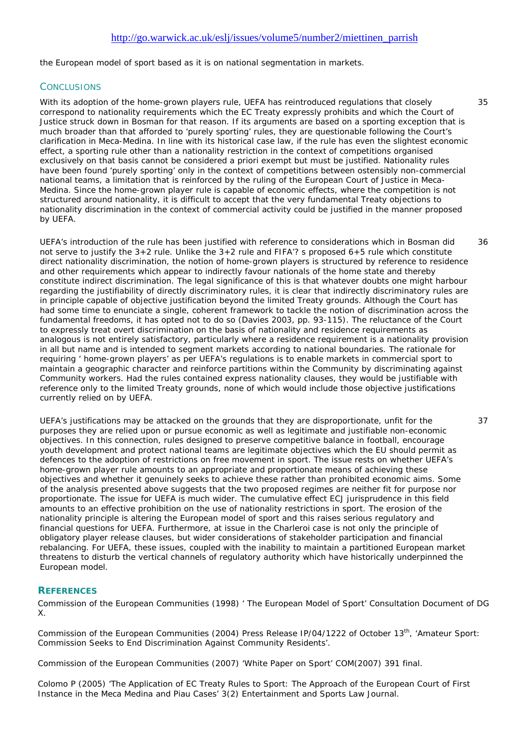the European model of sport based as it is on national segmentation in markets.

### CONCLUSIONS

With its adoption of the home-grown players rule, UEFA has reintroduced regulations that closely correspond to nationality requirements which the EC Treaty expressly prohibits and which the Court of Justice struck down in *Bosman* for that reason. If its arguments are based on a sporting exception that is much broader than that afforded to 'purely sporting' rules, they are questionable following the Court's clarification in *Meca-Medina*. In line with its historical case law, if the rule has even the slightest economic effect, a sporting rule other than a nationality restriction in the context of competitions organised exclusively on that basis cannot be considered *a priori* exempt but must be justified. Nationality rules have been found 'purely sporting' only in the context of competitions between ostensibly non-commercial national teams, a limitation that is reinforced by the ruling of the European Court of Justice in *Meca-Medina*. Since the home-grown player rule is capable of economic effects, where the competition is not structured around nationality, it is difficult to accept that the very fundamental Treaty objections to nationality discrimination in the context of commercial activity could be justified in the manner proposed by UEFA.

UEFA's introduction of the rule has been justified with reference to considerations which in *Bosman* did not serve to justify the  $3+2$  rule. Unlike the  $3+2$  rule and FIFA'? s proposed  $6+5$  rule which constitute direct nationality discrimination, the notion of home-grown players is structured by reference to residence and other requirements which appear to indirectly favour nationals of the home state and thereby constitute indirect discrimination. The legal significance of this is that whatever doubts one might harbour regarding the justifiability of directly discriminatory rules, it is clear that indirectly discriminatory rules are in principle capable of objective justification beyond the limited Treaty grounds. Although the Court has had some time to enunciate a single, coherent framework to tackle the notion of discrimination across the fundamental freedoms, it has opted not to do so (Davies 2003, pp. 93-115). The reluctance of the Court to expressly treat overt discrimination on the basis of nationality and residence requirements as analogous is not entirely satisfactory, particularly where a residence requirement is a nationality provision in all but name and is intended to segment markets according to national boundaries. The rationale for requiring ' home-grown players' as per UEFA's regulations is to enable markets in commercial sport to maintain a geographic character and reinforce partitions within the Community by discriminating against Community workers. Had the rules contained express nationality clauses, they would be justifiable with reference only to the limited Treaty grounds, none of which would include those objective justifications currently relied on by UEFA.

UEFA's justifications may be attacked on the grounds that they are disproportionate, unfit for the purposes they are relied upon or pursue economic as well as legitimate and justifiable non-economic objectives. In this connection, rules designed to preserve competitive balance in football, encourage youth development and protect national teams are legitimate objectives which the EU should permit as defences to the adoption of restrictions on free movement in sport. The issue rests on whether UEFA's home-grown player rule amounts to an appropriate and proportionate means of achieving these objectives and whether it genuinely seeks to achieve these rather than prohibited economic aims. Some of the analysis presented above suggests that the two proposed regimes are neither fit for purpose nor proportionate. The issue for UEFA is much wider. The cumulative effect ECJ jurisprudence in this field amounts to an effective prohibition on the use of nationality restrictions in sport. The erosion of the nationality principle is altering the European model of sport and this raises serious regulatory and financial questions for UEFA. Furthermore, at issue in the *Charleroi* case is not only the principle of obligatory player release clauses, but wider considerations of stakeholder participation and financial rebalancing. For UEFA, these issues, coupled with the inability to maintain a partitioned European market threatens to disturb the vertical channels of regulatory authority which have historically underpinned the European model.

#### **REFERENCES**

Commission of the European Communities (1998) ' The European Model of Sport' Consultation Document of DG X.

Commission of the European Communities (2004) Press Release IP/04/1222 of October 13<sup>th</sup>, 'Amateur Sport: Commission Seeks to End Discrimination Against Community Residents'.

Commission of the European Communities (2007) 'White Paper on Sport' COM(2007) 391 final.

Colomo P (2005) 'The Application of EC Treaty Rules to Sport: The Approach of the European Court of First Instance in the Meca Medina and Piau Cases' 3(2) Entertainment and Sports Law Journal.

35

36